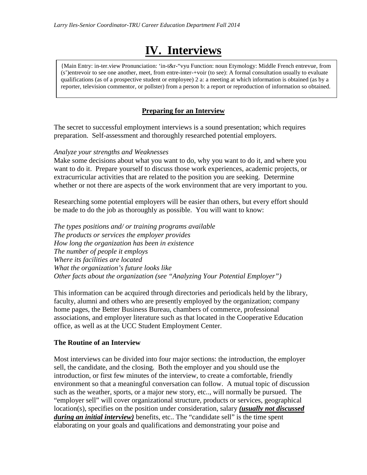# **IV. Interviews**

{Main Entry: in-ter.view Pronunciation: 'in-t&r-"vyu Function: noun Etymology: Middle French entrevue, from (s')entrevoir to see one another, meet, from entre-inter-+voir (to see): A formal consultation usually to evaluate qualifications (as of a prospective student or employee) 2 a: a meeting at which information is obtained (as by a reporter, television commentor, or pollster) from a person b: a report or reproduction of information so obtained.

# **Preparing for an Interview**

The secret to successful employment interviews is a sound presentation; which requires preparation. Self-assessment and thoroughly researched potential employers.

#### *Analyze your strengths and Weaknesses*

Make some decisions about what you want to do, why you want to do it, and where you want to do it. Prepare yourself to discuss those work experiences, academic projects, or extracurricular activities that are related to the position you are seeking. Determine whether or not there are aspects of the work environment that are very important to you.

Researching some potential employers will be easier than others, but every effort should be made to do the job as thoroughly as possible. You will want to know:

*The types positions and/ or training programs available The products or services the employer provides How long the organization has been in existence The number of people it employs Where its facilities are located What the organization's future looks like Other facts about the organization (see "Analyzing Your Potential Employer")*

This information can be acquired through directories and periodicals held by the library, faculty, alumni and others who are presently employed by the organization; company home pages, the Better Business Bureau, chambers of commerce, professional associations, and employer literature such as that located in the Cooperative Education office, as well as at the UCC Student Employment Center.

#### **The Routine of an Interview**

Most interviews can be divided into four major sections: the introduction, the employer sell, the candidate, and the closing. Both the employer and you should use the introduction, or first few minutes of the interview, to create a comfortable, friendly environment so that a meaningful conversation can follow. A mutual topic of discussion such as the weather, sports, or a major new story, etc.., will normally be pursued. The "employer sell" will cover organizational structure, products or services, geographical location(s), specifies on the position under consideration, salary *(usually not discussed during an initial interview)* benefits, etc.. The "candidate sell" is the time spent elaborating on your goals and qualifications and demonstrating your poise and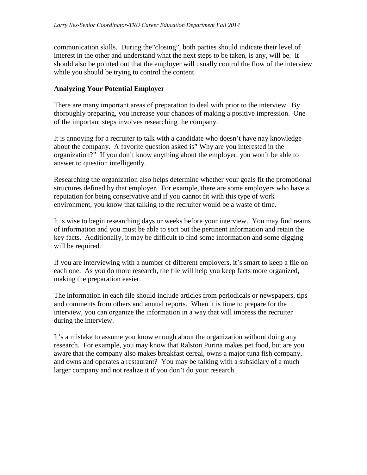communication skills. During the"closing", both parties should indicate their level of interest in the other and understand what the next steps to be taken, is any, will be. It should also be pointed out that the employer will usually control the flow of the interview while you should be trying to control the content.

#### **Analyzing Your Potential Employer**

There are many important areas of preparation to deal with prior to the interview. By thoroughly preparing, you increase your chances of making a positive impression. One of the important steps involves researching the company.

It is annoying for a recruiter to talk with a candidate who doesn't have nay knowledge about the company. A favorite question asked is" Why are you interested in the organization?" If you don't know anything about the employer, you won't be able to answer to question intelligently.

Researching the organization also helps determine whether your goals fit the promotional structures defined by that employer. For example, there are some employers who have a reputation for being conservative and if you cannot fit with this type of work environment, you know that talking to the recruiter would be a waste of time.

It is wise to begin researching days or weeks before your interview. You may find reams of information and you must be able to sort out the pertinent information and retain the key facts. Additionally, it may be difficult to find some information and some digging will be required.

If you are interviewing with a number of different employers, it's smart to keep a file on each one. As you do more research, the file will help you keep facts more organized, making the preparation easier.

The information in each file should include articles from periodicals or newspapers, tips and comments from others and annual reports. When it is time to prepare for the interview, you can organize the information in a way that will impress the recruiter during the interview.

It's a mistake to assume you know enough about the organization without doing any research. For example, you may know that Ralston Purina makes pet food, but are you aware that the company also makes breakfast cereal, owns a major tuna fish company, and owns and operates a restaurant? You may be talking with a subsidiary of a much larger company and not realize it if you don't do your research.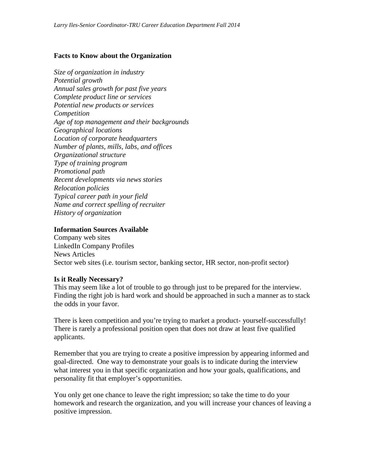#### **Facts to Know about the Organization**

*Size of organization in industry Potential growth Annual sales growth for past five years Complete product line or services Potential new products or services Competition Age of top management and their backgrounds Geographical locations Location of corporate headquarters Number of plants, mills, labs, and offices Organizational structure Type of training program Promotional path Recent developments via news stories Relocation policies Typical career path in your field Name and correct spelling of recruiter History of organization*

#### **Information Sources Available**

Company web sites LinkedIn Company Profiles News Articles Sector web sites (i.e. tourism sector, banking sector, HR sector, non-profit sector)

#### **Is it Really Necessary?**

This may seem like a lot of trouble to go through just to be prepared for the interview. Finding the right job is hard work and should be approached in such a manner as to stack the odds in your favor.

There is keen competition and you're trying to market a product- yourself-successfully! There is rarely a professional position open that does not draw at least five qualified applicants.

Remember that you are trying to create a positive impression by appearing informed and goal-directed. One way to demonstrate your goals is to indicate during the interview what interest you in that specific organization and how your goals, qualifications, and personality fit that employer's opportunities.

You only get one chance to leave the right impression; so take the time to do your homework and research the organization, and you will increase your chances of leaving a positive impression.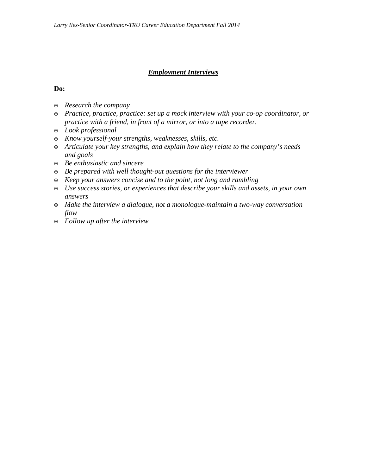## *Employment Interviews*

## **Do:**

- *Research the company*
- *Practice, practice, practice: set up a mock interview with your co-op coordinator, or practice with a friend, in front of a mirror, or into a tape recorder.*
- *Look professional*
- *Know yourself-your strengths, weaknesses, skills, etc.*
- *Articulate your key strengths, and explain how they relate to the company's needs and goals*
- *Be enthusiastic and sincere*
- *Be prepared with well thought-out questions for the interviewer*
- *Keep your answers concise and to the point, not long and rambling*
- *Use success stories, or experiences that describe your skills and assets, in your own answers*
- *Make the interview a dialogue, not a monologue-maintain a two-way conversation flow*
- *Follow up after the interview*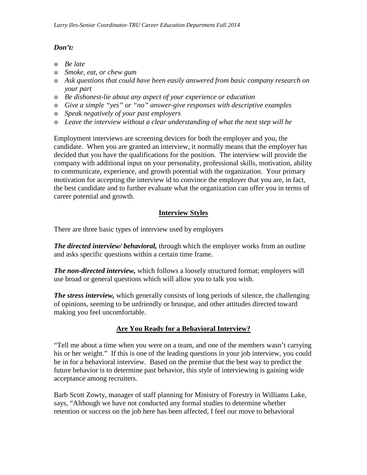# *Don't:*

- *Be late*
- *Smoke, eat, or chew gum*
- *Ask questions that could have been easily answered from basic company research on your part*
- *Be dishonest-lie about any aspect of your experience or education*
- *Give a simple "yes" or "no" answer-give responses with descriptive examples*
- *Speak negatively of your past employers*
- *Leave the interview without a clear understanding of what the next step will be*

Employment interviews are screening devices for both the employer and you, the candidate. When you are granted an interview, it normally means that the employer has decided that you have the qualifications for the position. The interview will provide the company with additional input on your personality, professional skills, motivation, ability to communicate, experience, and growth potential with the organization. Your primary motivation for accepting the interview id to convince the employer that you are, in fact, the best candidate and to further evaluate what the organization can offer you in terms of career potential and growth.

# **Interview Styles**

There are three basic types of interview used by employers

*The directed interview/ behavioral,* through which the employer works from an outline and asks specific questions within a certain time frame.

*The non-directed interview,* which follows a loosely structured format; employers will use broad or general questions which will allow you to talk you wish.

*The stress interview,* which generally consists of long periods of silence, the challenging of opinions, seeming to be unfriendly or brusque, and other attitudes directed toward making you feel uncomfortable.

# **Are You Ready for a Behavioral Interview?**

"Tell me about a time when you were on a team, and one of the members wasn't carrying his or her weight." If this is one of the leading questions in your job interview, you could be in for a behavioral interview. Based on the premise that the best way to predict the future behavior is to determine past behavior, this style of interviewing is gaining wide acceptance among recruiters.

Barb Scott Zowty, manager of staff planning for Ministry of Forestry in Williams Lake, says, "Although we have not conducted any formal studies to determine whether retention or success on the job here has been affected, I feel our move to behavioral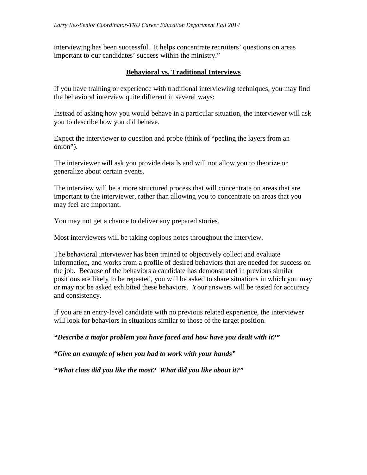interviewing has been successful. It helps concentrate recruiters' questions on areas important to our candidates' success within the ministry."

## **Behavioral vs. Traditional Interviews**

If you have training or experience with traditional interviewing techniques, you may find the behavioral interview quite different in several ways:

Instead of asking how you would behave in a particular situation, the interviewer will ask you to describe how you did behave.

Expect the interviewer to question and probe (think of "peeling the layers from an onion").

The interviewer will ask you provide details and will not allow you to theorize or generalize about certain events.

The interview will be a more structured process that will concentrate on areas that are important to the interviewer, rather than allowing you to concentrate on areas that you may feel are important.

You may not get a chance to deliver any prepared stories.

Most interviewers will be taking copious notes throughout the interview.

The behavioral interviewer has been trained to objectively collect and evaluate information, and works from a profile of desired behaviors that are needed for success on the job. Because of the behaviors a candidate has demonstrated in previous similar positions are likely to be repeated, you will be asked to share situations in which you may or may not be asked exhibited these behaviors. Your answers will be tested for accuracy and consistency.

If you are an entry-level candidate with no previous related experience, the interviewer will look for behaviors in situations similar to those of the target position.

*"Describe a major problem you have faced and how have you dealt with it?"*

*"Give an example of when you had to work with your hands"*

*"What class did you like the most? What did you like about it?"*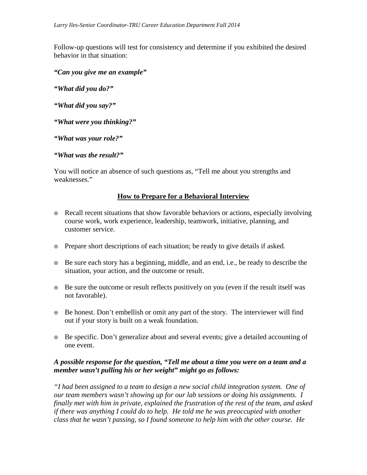Follow-up questions will test for consistency and determine if you exhibited the desired behavior in that situation:

- *"Can you give me an example"*
- *"What did you do?"*
- *"What did you say?"*
- *"What were you thinking?"*
- *"What was your role?"*
- *"What was the result?"*

You will notice an absence of such questions as, "Tell me about you strengths and weaknesses."

#### **How to Prepare for a Behavioral Interview**

- Recall recent situations that show favorable behaviors or actions, especially involving course work, work experience, leadership, teamwork, initiative, planning, and customer service.
- Prepare short descriptions of each situation; be ready to give details if asked.
- Be sure each story has a beginning, middle, and an end, i.e., be ready to describe the situation, your action, and the outcome or result.
- Be sure the outcome or result reflects positively on you (even if the result itself was not favorable).
- Be honest. Don't embellish or omit any part of the story. The interviewer will find out if your story is built on a weak foundation.
- Be specific. Don't generalize about and several events; give a detailed accounting of one event.

#### *A possible response for the question, "Tell me about a time you were on a team and a member wasn't pulling his or her weight" might go as follows:*

*"I had been assigned to a team to design a new social child integration system. One of our team members wasn't showing up for our lab sessions or doing his assignments. I finally met with him in private, explained the frustration of the rest of the team, and asked if there was anything I could do to help. He told me he was preoccupied with another class that he wasn't passing, so I found someone to help him with the other course. He*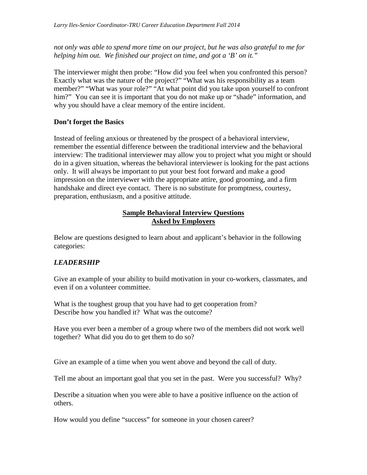*not only was able to spend more time on our project, but he was also grateful to me for helping him out. We finished our project on time, and got a 'B' on it."*

The interviewer might then probe: "How did you feel when you confronted this person? Exactly what was the nature of the project?" "What was his responsibility as a team member?" "What was your role?" "At what point did you take upon yourself to confront him?" You can see it is important that you do not make up or "shade" information, and why you should have a clear memory of the entire incident.

# **Don't forget the Basics**

Instead of feeling anxious or threatened by the prospect of a behavioral interview, remember the essential difference between the traditional interview and the behavioral interview: The traditional interviewer may allow you to project what you might or should do in a given situation, whereas the behavioral interviewer is looking for the past actions only. It will always be important to put your best foot forward and make a good impression on the interviewer with the appropriate attire, good grooming, and a firm handshake and direct eye contact. There is no substitute for promptness, courtesy, preparation, enthusiasm, and a positive attitude.

#### **Sample Behavioral Interview Questions Asked by Employers**

Below are questions designed to learn about and applicant's behavior in the following categories:

# *LEADERSHIP*

Give an example of your ability to build motivation in your co-workers, classmates, and even if on a volunteer committee.

What is the toughest group that you have had to get cooperation from? Describe how you handled it? What was the outcome?

Have you ever been a member of a group where two of the members did not work well together? What did you do to get them to do so?

Give an example of a time when you went above and beyond the call of duty.

Tell me about an important goal that you set in the past. Were you successful? Why?

Describe a situation when you were able to have a positive influence on the action of others.

How would you define "success" for someone in your chosen career?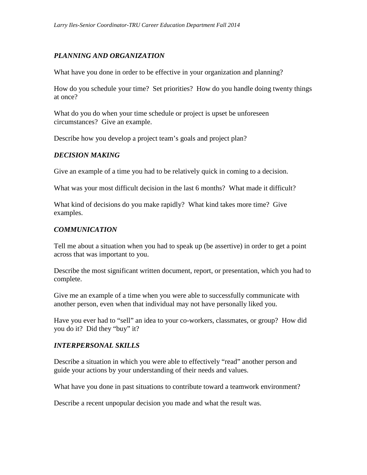# *PLANNING AND ORGANIZATION*

What have you done in order to be effective in your organization and planning?

How do you schedule your time? Set priorities? How do you handle doing twenty things at once?

What do you do when your time schedule or project is upset be unforeseen circumstances? Give an example.

Describe how you develop a project team's goals and project plan?

#### *DECISION MAKING*

Give an example of a time you had to be relatively quick in coming to a decision.

What was your most difficult decision in the last 6 months? What made it difficult?

What kind of decisions do you make rapidly? What kind takes more time? Give examples.

## *COMMUNICATION*

Tell me about a situation when you had to speak up (be assertive) in order to get a point across that was important to you.

Describe the most significant written document, report, or presentation, which you had to complete.

Give me an example of a time when you were able to successfully communicate with another person, even when that individual may not have personally liked you.

Have you ever had to "sell" an idea to your co-workers, classmates, or group? How did you do it? Did they "buy" it?

#### *INTERPERSONAL SKILLS*

Describe a situation in which you were able to effectively "read" another person and guide your actions by your understanding of their needs and values.

What have you done in past situations to contribute toward a teamwork environment?

Describe a recent unpopular decision you made and what the result was.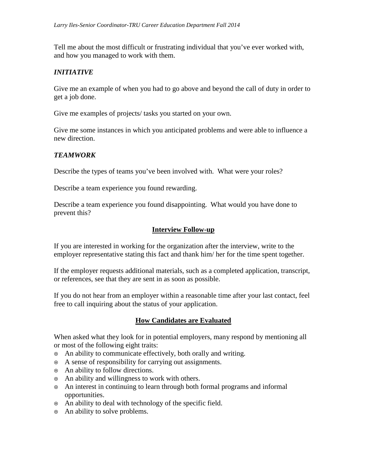Tell me about the most difficult or frustrating individual that you've ever worked with, and how you managed to work with them.

## *INITIATIVE*

Give me an example of when you had to go above and beyond the call of duty in order to get a job done.

Give me examples of projects/ tasks you started on your own.

Give me some instances in which you anticipated problems and were able to influence a new direction.

# *TEAMWORK*

Describe the types of teams you've been involved with. What were your roles?

Describe a team experience you found rewarding.

Describe a team experience you found disappointing. What would you have done to prevent this?

#### **Interview Follow-up**

If you are interested in working for the organization after the interview, write to the employer representative stating this fact and thank him/ her for the time spent together.

If the employer requests additional materials, such as a completed application, transcript, or references, see that they are sent in as soon as possible.

If you do not hear from an employer within a reasonable time after your last contact, feel free to call inquiring about the status of your application.

#### **How Candidates are Evaluated**

When asked what they look for in potential employers, many respond by mentioning all or most of the following eight traits:

- An ability to communicate effectively, both orally and writing.
- A sense of responsibility for carrying out assignments.
- An ability to follow directions.
- An ability and willingness to work with others.
- An interest in continuing to learn through both formal programs and informal opportunities.
- An ability to deal with technology of the specific field.
- An ability to solve problems.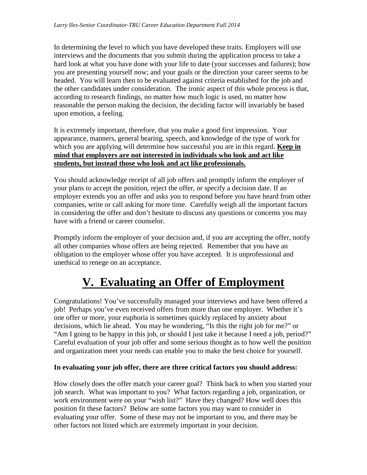In determining the level to which you have developed these traits. Employers will use interviews and the documents that you submit during the application process to take a hard look at what you have done with your life to date (your successes and failures); how you are presenting yourself now; and your goals or the direction your career seems to be headed. You will learn then to be evaluated against criteria established for the job and the other candidates under consideration. The ironic aspect of this whole process is that, according to research findings, no matter how much logic is used, no matter how reasonable the person making the decision, the deciding factor will invariably be based upon emotion, a feeling.

It is extremely important, therefore, that you make a good first impression. Your appearance, manners, general bearing, speech, and knowledge of the type of work for which you are applying will determine how successful you are in this regard. **Keep in mind that employers are not interested in individuals who look and act like students, but instead those who look and act like professionals.**

You should acknowledge receipt of all job offers and promptly inform the employer of your plans to accept the position, reject the offer, or specify a decision date. If an employer extends you an offer and asks you to respond before you have heard from other companies, write or call asking for more time. Carefully weigh all the important factors in considering the offer and don't hesitate to discuss any questions or concerns you may have with a friend or career counselor.

Promptly inform the employer of your decision and, if you are accepting the offer, notify all other companies whose offers are being rejected. Remember that you have an obligation to the employer whose offer you have accepted. It is unprofessional and unethical to renege on an acceptance.

# **V. Evaluating an Offer of Employment**

Congratulations! You've successfully managed your interviews and have been offered a job! Perhaps you've even received offers from more than one employer. Whether it's one offer or more, your euphoria is sometimes quickly replaced by anxiety about decisions, which lie ahead. You may be wondering, "Is this the right job for me?" or "Am I going to be happy in this job, or should I just take it because I need a job, period?" Careful evaluation of your job offer and some serious thought as to how well the position and organization meet your needs can enable you to make the best choice for yourself.

#### **In evaluating your job offer, there are three critical factors you should address:**

How closely does the offer match your career goal? Think back to when you started your job search. What was important to you? What factors regarding a job, organization, or work environment were on your "wish list?" Have they changed? How well does this position fit these factors? Below are some factors you may want to consider in evaluating your offer. Some of these may not be important to you, and there may be other factors not listed which are extremely important in your decision.